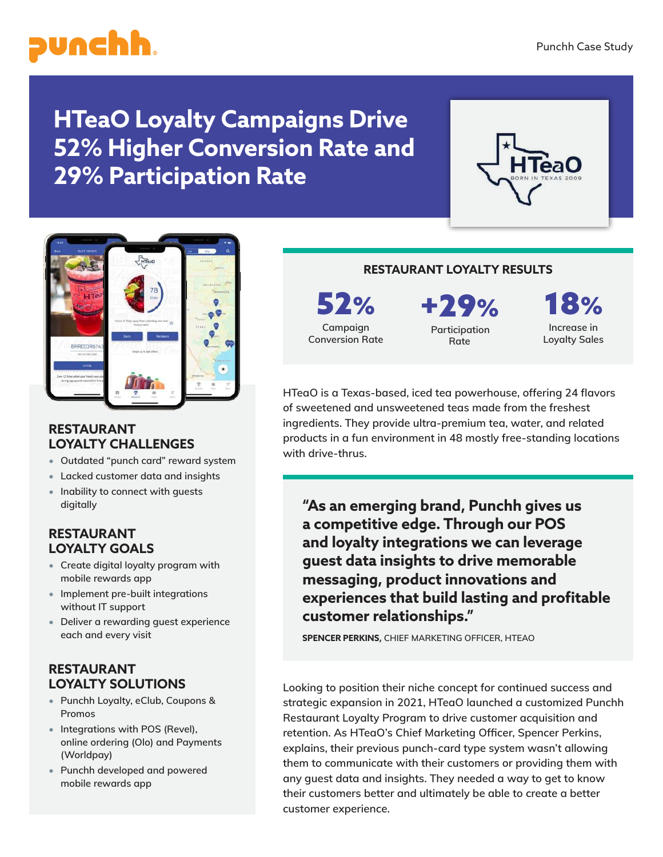

# **HTeaO Loyalty Campaigns Drive 52% Higher Conversion Rate and 29% Participation Rate**





#### **RESTAURANT LOYALTY CHALLENGES**

- **Outdated "punch card" reward system**
- **Lacked customer data and insights**
- **Inability to connect with guests digitally**

## **RESTAURANT LOYALTY GOALS**

- **Create digital loyalty program with mobile rewards app**
- **Implement pre-built integrations without IT support**
- **Deliver a rewarding guest experience each and every visit**

# **RESTAURANT LOYALTY SOLUTIONS**

- **Punchh Loyalty, eClub, Coupons & Promos**
- **Integrations with POS (Revel), online ordering (Olo) and Payments (Worldpay)**
- **Punchh developed and powered mobile rewards app**

#### **RESTAURANT LOYALTY RESULTS**

52% **Campaign Conversion Rate**

+29% **Participation Rate**

**10/ Increase in Loyalty Sales**

**HTeaO is a Texas-based, iced tea powerhouse, offering 24 flavors of sweetened and unsweetened teas made from the freshest ingredients. They provide ultra-premium tea, water, and related products in a fun environment in 48 mostly free-standing locations with drive-thrus.** 

**"As an emerging brand, Punchh gives us a competitive edge. Through our POS and loyalty integrations we can leverage guest data insights to drive memorable messaging, product innovations and experiences that build lasting and profitable customer relationships."** 

**SPENCER PERKINS, CHIEF MARKETING OFFICER, HTEAO**

**Looking to position their niche concept for continued success and strategic expansion in 2021, HTeaO launched a customized Punchh Restaurant Loyalty Program to drive customer acquisition and retention. As HTeaO's Chief Marketing Officer, Spencer Perkins, explains, their previous punch-card type system wasn't allowing them to communicate with their customers or providing them with any guest data and insights. They needed a way to get to know their customers better and ultimately be able to create a better customer experience.**